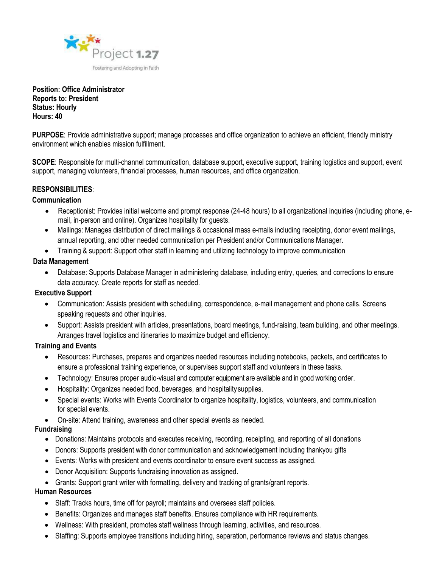

**Position: Office Administrator Reports to: President Status: Hourly Hours: 40**

**PURPOSE**: Provide administrative support; manage processes and office organization to achieve an efficient, friendly ministry environment which enables mission fulfillment.

**SCOPE**: Responsible for multi-channel communication, database support, executive support, training logistics and support, event support, managing volunteers, financial processes, human resources, and office organization.

# **RESPONSIBILITIES**:

### **Communication**

- Receptionist: Provides initial welcome and prompt response (24-48 hours) to all organizational inquiries (including phone, email, in-person and online). Organizes hospitality for guests.
- Mailings: Manages distribution of direct mailings & occasional mass e-mails including receipting, donor event mailings, annual reporting, and other needed communication per President and/or Communications Manager.
- Training & support: Support other staff in learning and utilizing technology to improve communication

### **Data Management**

• Database: Supports Database Manager in administering database, including entry, queries, and corrections to ensure data accuracy. Create reports for staff as needed.

### **Executive Support**

- Communication: Assists president with scheduling, correspondence, e-mail management and phone calls. Screens speaking requests and other inquiries.
- Support: Assists president with articles, presentations, board meetings, fund-raising, team building, and other meetings. Arranges travel logistics and itineraries to maximize budget and efficiency.

### **Training and Events**

- Resources: Purchases, prepares and organizes needed resources including notebooks, packets, and certificates to ensure a professional training experience, or supervises support staff and volunteers in these tasks.
- Technology: Ensures proper audio-visual and computer equipment are available and in good working order.
- Hospitality: Organizes needed food, beverages, and hospitalitysupplies.
- Special events: Works with Events Coordinator to organize hospitality, logistics, volunteers, and communication for special events.
- On-site: Attend training, awareness and other special events as needed.

# **Fundraising**

- Donations: Maintains protocols and executes receiving, recording, receipting, and reporting of all donations
- Donors: Supports president with donor communication and acknowledgement including thankyou gifts
- Events: Works with president and events coordinator to ensure event success as assigned.
- Donor Acquisition: Supports fundraising innovation as assigned.
- Grants: Support grant writer with formatting, delivery and tracking of grants/grant reports.

# **Human Resources**

- Staff: Tracks hours, time off for payroll; maintains and oversees staff policies.
- Benefits: Organizes and manages staff benefits. Ensures compliance with HR requirements.
- Wellness: With president, promotes staff wellness through learning, activities, and resources.
- Staffing: Supports employee transitions including hiring, separation, performance reviews and status changes.